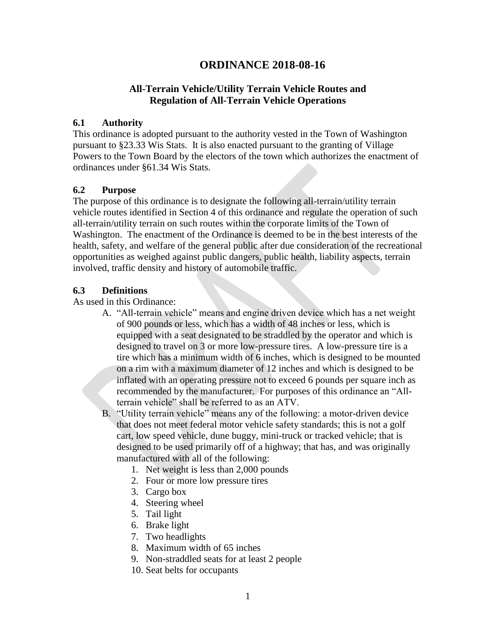# **ORDINANCE 2018-08-16**

## **All-Terrain Vehicle/Utility Terrain Vehicle Routes and Regulation of All-Terrain Vehicle Operations**

#### **6.1 Authority**

This ordinance is adopted pursuant to the authority vested in the Town of Washington pursuant to §23.33 Wis Stats. It is also enacted pursuant to the granting of Village Powers to the Town Board by the electors of the town which authorizes the enactment of ordinances under §61.34 Wis Stats.

### **6.2 Purpose**

The purpose of this ordinance is to designate the following all-terrain/utility terrain vehicle routes identified in Section 4 of this ordinance and regulate the operation of such all-terrain/utility terrain on such routes within the corporate limits of the Town of Washington. The enactment of the Ordinance is deemed to be in the best interests of the health, safety, and welfare of the general public after due consideration of the recreational opportunities as weighed against public dangers, public health, liability aspects, terrain involved, traffic density and history of automobile traffic.

### **6.3 Definitions**

As used in this Ordinance:

A. "All-terrain vehicle" means and engine driven device which has a net weight of 900 pounds or less, which has a width of 48 inches or less, which is equipped with a seat designated to be straddled by the operator and which is designed to travel on 3 or more low-pressure tires. A low-pressure tire is a tire which has a minimum width of 6 inches, which is designed to be mounted on a rim with a maximum diameter of 12 inches and which is designed to be inflated with an operating pressure not to exceed 6 pounds per square inch as recommended by the manufacturer. For purposes of this ordinance an "Allterrain vehicle" shall be referred to as an ATV.

B. "Utility terrain vehicle" means any of the following: a motor-driven device that does not meet federal motor vehicle safety standards; this is not a golf cart, low speed vehicle, dune buggy, mini-truck or tracked vehicle; that is designed to be used primarily off of a highway; that has, and was originally manufactured with all of the following:

- 1. Net weight is less than 2,000 pounds
- 2. Four or more low pressure tires
- 3. Cargo box
- 4. Steering wheel
- 5. Tail light
- 6. Brake light
- 7. Two headlights
- 8. Maximum width of 65 inches
- 9. Non-straddled seats for at least 2 people
- 10. Seat belts for occupants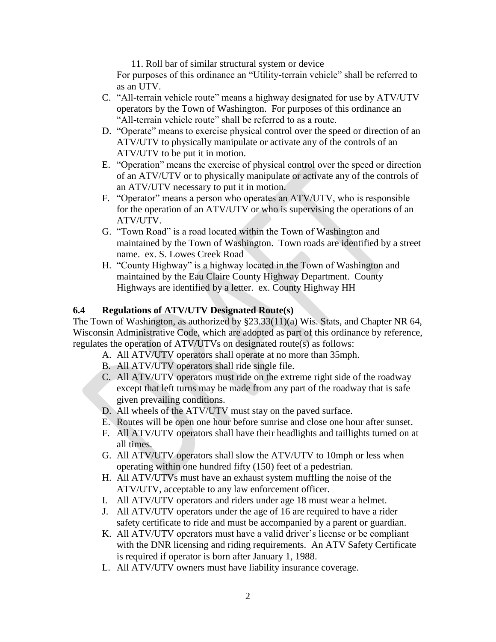11. Roll bar of similar structural system or device

For purposes of this ordinance an "Utility-terrain vehicle" shall be referred to as an UTV.

- C. "All-terrain vehicle route" means a highway designated for use by ATV/UTV operators by the Town of Washington. For purposes of this ordinance an "All-terrain vehicle route" shall be referred to as a route.
- D. "Operate" means to exercise physical control over the speed or direction of an ATV/UTV to physically manipulate or activate any of the controls of an ATV/UTV to be put it in motion.
- E. "Operation" means the exercise of physical control over the speed or direction of an ATV/UTV or to physically manipulate or activate any of the controls of an ATV/UTV necessary to put it in motion.
- F. "Operator" means a person who operates an ATV/UTV, who is responsible for the operation of an ATV/UTV or who is supervising the operations of an ATV/UTV.
- G. "Town Road" is a road located within the Town of Washington and maintained by the Town of Washington. Town roads are identified by a street name. ex. S. Lowes Creek Road
- H. "County Highway" is a highway located in the Town of Washington and maintained by the Eau Claire County Highway Department. County Highways are identified by a letter. ex. County Highway HH

### **6.4 Regulations of ATV/UTV Designated Route(s)**

The Town of Washington, as authorized by §23.33(11)(a) Wis. Stats, and Chapter NR 64, Wisconsin Administrative Code, which are adopted as part of this ordinance by reference, regulates the operation of ATV/UTVs on designated route(s) as follows:

- A. All ATV/UTV operators shall operate at no more than 35mph.
- B. All ATV/UTV operators shall ride single file.
- C. All ATV/UTV operators must ride on the extreme right side of the roadway except that left turns may be made from any part of the roadway that is safe given prevailing conditions.
- D. All wheels of the ATV/UTV must stay on the paved surface.
- E. Routes will be open one hour before sunrise and close one hour after sunset.
- F. All ATV/UTV operators shall have their headlights and taillights turned on at all times.
- G. All ATV/UTV operators shall slow the ATV/UTV to 10mph or less when operating within one hundred fifty (150) feet of a pedestrian.
- H. All ATV/UTVs must have an exhaust system muffling the noise of the ATV/UTV, acceptable to any law enforcement officer.
- I. All ATV/UTV operators and riders under age 18 must wear a helmet.
- J. All ATV/UTV operators under the age of 16 are required to have a rider safety certificate to ride and must be accompanied by a parent or guardian.
- K. All ATV/UTV operators must have a valid driver's license or be compliant with the DNR licensing and riding requirements. An ATV Safety Certificate is required if operator is born after January 1, 1988.
- L. All ATV/UTV owners must have liability insurance coverage.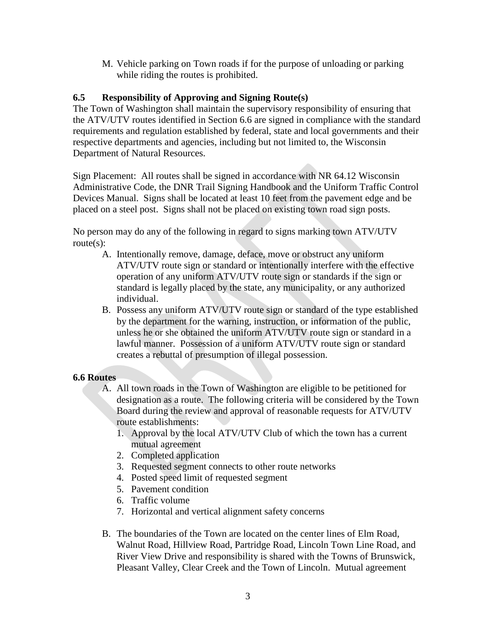M. Vehicle parking on Town roads if for the purpose of unloading or parking while riding the routes is prohibited.

### **6.5 Responsibility of Approving and Signing Route(s)**

The Town of Washington shall maintain the supervisory responsibility of ensuring that the ATV/UTV routes identified in Section 6.6 are signed in compliance with the standard requirements and regulation established by federal, state and local governments and their respective departments and agencies, including but not limited to, the Wisconsin Department of Natural Resources.

Sign Placement: All routes shall be signed in accordance with NR 64.12 Wisconsin Administrative Code, the DNR Trail Signing Handbook and the Uniform Traffic Control Devices Manual. Signs shall be located at least 10 feet from the pavement edge and be placed on a steel post. Signs shall not be placed on existing town road sign posts.

No person may do any of the following in regard to signs marking town ATV/UTV route(s):

- A. Intentionally remove, damage, deface, move or obstruct any uniform ATV/UTV route sign or standard or intentionally interfere with the effective operation of any uniform ATV/UTV route sign or standards if the sign or standard is legally placed by the state, any municipality, or any authorized individual.
- B. Possess any uniform ATV/UTV route sign or standard of the type established by the department for the warning, instruction, or information of the public, unless he or she obtained the uniform ATV/UTV route sign or standard in a lawful manner. Possession of a uniform ATV/UTV route sign or standard creates a rebuttal of presumption of illegal possession.

#### **6.6 Routes**

- A. All town roads in the Town of Washington are eligible to be petitioned for designation as a route. The following criteria will be considered by the Town Board during the review and approval of reasonable requests for ATV/UTV route establishments:
	- 1. Approval by the local ATV/UTV Club of which the town has a current mutual agreement
	- 2. Completed application
	- 3. Requested segment connects to other route networks
	- 4. Posted speed limit of requested segment
	- 5. Pavement condition
	- 6. Traffic volume
	- 7. Horizontal and vertical alignment safety concerns
- B. The boundaries of the Town are located on the center lines of Elm Road, Walnut Road, Hillview Road, Partridge Road, Lincoln Town Line Road, and River View Drive and responsibility is shared with the Towns of Brunswick, Pleasant Valley, Clear Creek and the Town of Lincoln. Mutual agreement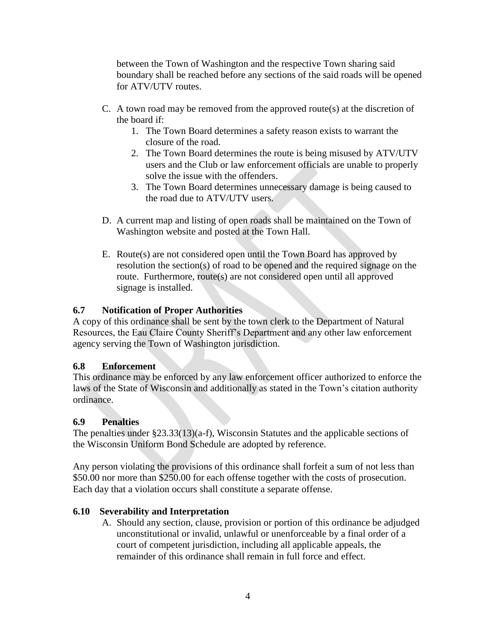between the Town of Washington and the respective Town sharing said boundary shall be reached before any sections of the said roads will be opened for ATV/UTV routes.

- C. A town road may be removed from the approved route(s) at the discretion of the board if:
	- 1. The Town Board determines a safety reason exists to warrant the closure of the road.
	- 2. The Town Board determines the route is being misused by ATV/UTV users and the Club or law enforcement officials are unable to properly solve the issue with the offenders.
	- 3. The Town Board determines unnecessary damage is being caused to the road due to ATV/UTV users.
- D. A current map and listing of open roads shall be maintained on the Town of Washington website and posted at the Town Hall.
- E. Route(s) are not considered open until the Town Board has approved by resolution the section(s) of road to be opened and the required signage on the route. Furthermore, route(s) are not considered open until all approved signage is installed.

## **6.7 Notification of Proper Authorities**

A copy of this ordinance shall be sent by the town clerk to the Department of Natural Resources, the Eau Claire County Sheriff's Department and any other law enforcement agency serving the Town of Washington jurisdiction.

## **6.8 Enforcement**

This ordinance may be enforced by any law enforcement officer authorized to enforce the laws of the State of Wisconsin and additionally as stated in the Town's citation authority ordinance.

## **6.9 Penalties**

The penalties under §23.33(13)(a-f), Wisconsin Statutes and the applicable sections of the Wisconsin Uniform Bond Schedule are adopted by reference.

Any person violating the provisions of this ordinance shall forfeit a sum of not less than \$50.00 nor more than \$250.00 for each offense together with the costs of prosecution. Each day that a violation occurs shall constitute a separate offense.

## **6.10 Severability and Interpretation**

A. Should any section, clause, provision or portion of this ordinance be adjudged unconstitutional or invalid, unlawful or unenforceable by a final order of a court of competent jurisdiction, including all applicable appeals, the remainder of this ordinance shall remain in full force and effect.